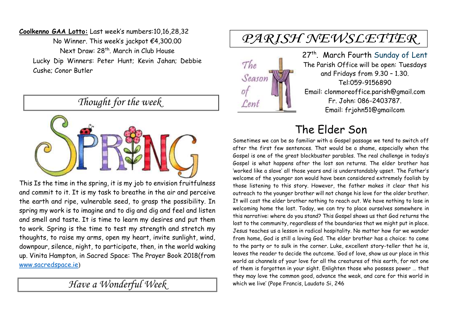**Coolkenno GAA Lotto:** Last week's numbers:10,16,28,32 No Winner. This week's jackpot €4,300.00 Next Draw: 28th . March in Club House Lucky Dip Winners: Peter Hunt; Kevin Jahan; Debbie Cushe; Conor Butler

*Thought for the week*



This Is the time in the spring, it is my job to envision fruitfulness and commit to it. It is my task to breathe in the air and perceive the earth and ripe, vulnerable seed, to grasp the possibility. In spring my work is to imagine and to dig and dig and feel and listen and smell and taste. It is time to learn my desires and put them to work. Spring is the time to test my strength and stretch my thoughts, to raise my arms, open my heart, invite sunlight, wind, downpour, silence, night, to participate, then, in the world waking up. Vinita Hampton, in Sacred Space: The Prayer Book 2018(from [www.sacredspace.ie](http://www.sacredspace.ie/))

*Have a Wonderful Week* 

# PARISH NEWSLETTER



27<sup>th</sup>. March Fourth Sunday of Lent The Parish Office will be open: Tuesdays and Fridays from 9.30 – 1.30. Tel:059-9156890 Email: clonmoreoffice.parish@gmail.com Fr. John: 086-2403787. Email: frjohn51@gmailcom

## The Elder Son

Sometimes we can be so familiar with a Gospel passage we tend to switch off after the first few sentences. That would be a shame, especially when the Gospel is one of the great blockbuster parables. The real challenge in today's Gospel is what happens after the lost son returns. The elder brother has 'worked like a slave' all those years and is understandably upset. The Father's welcome of the younger son would have been considered extremely foolish by those listening to this story. However, the father makes it clear that his outreach to the younger brother will not change his love for the older brother. It will cost the elder brother nothing to reach out. We have nothing to lose in welcoming home the lost. Today, we can try to place ourselves somewhere in this narrative: where do you stand? This Gospel shows us that God returns the lost to the community, regardless of the boundaries that we might put in place. Jesus teaches us a lesson in radical hospitality. No matter how far we wander from home, God is still a loving God. The elder brother has a choice: to come to the party or to sulk in the corner. Luke, excellent story-teller that he is, leaves the reader to decide the outcome. 'God of love, show us our place in this world as channels of your love for all the creatures of this earth, for not one of them is forgotten in your sight. Enlighten those who possess power … that they may love the common good, advance the weak, and care for this world in which we live' (Pope Francis, Laudato Si, 246